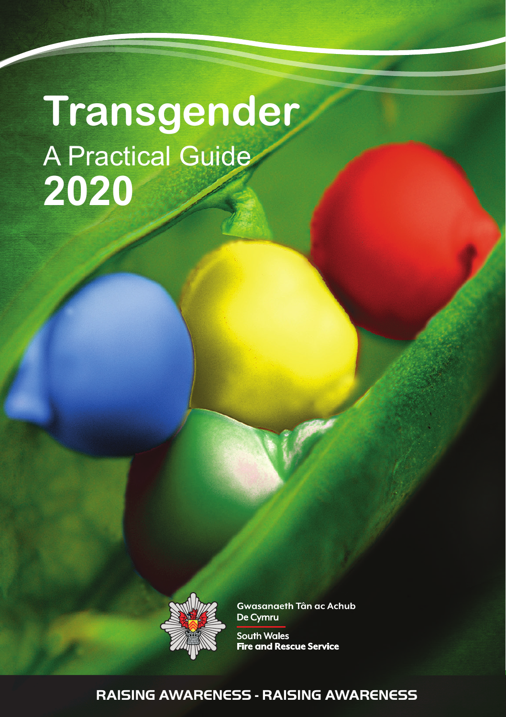# **Transgender** A Practical Guide **2020**



**Gwasanaeth Tân ac Achub** De Cymru

**South Wales Fire and Rescue Service** 

#### RAISING AWARENESS - RAISING AWARENESS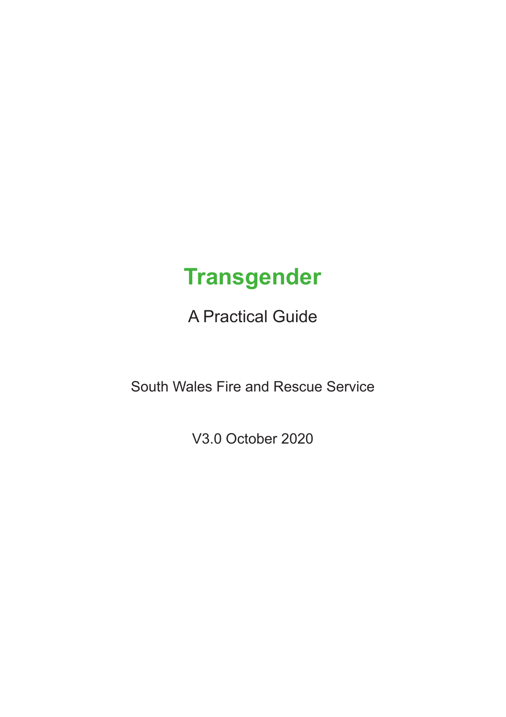# **Transgender**

A Practical Guide

South Wales Fire and Rescue Service

V3.0 October 2020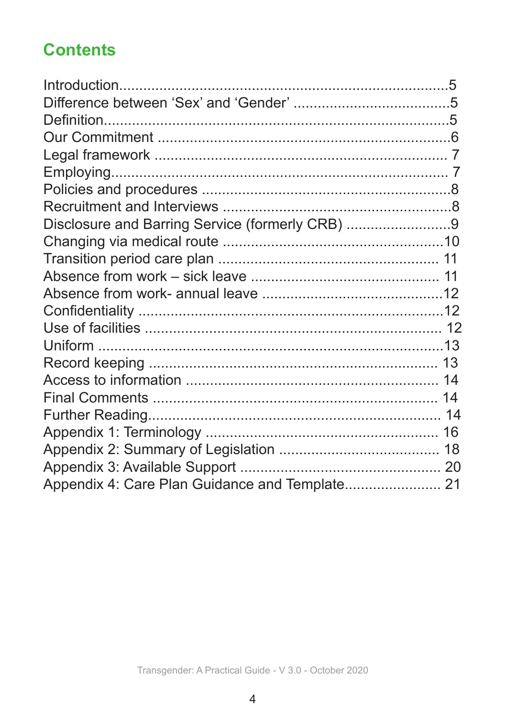# **Contents**

| Disclosure and Barring Service (formerly CRB) 9 |  |
|-------------------------------------------------|--|
|                                                 |  |
|                                                 |  |
|                                                 |  |
|                                                 |  |
|                                                 |  |
|                                                 |  |
|                                                 |  |
|                                                 |  |
|                                                 |  |
|                                                 |  |
|                                                 |  |
|                                                 |  |
|                                                 |  |
|                                                 |  |
|                                                 |  |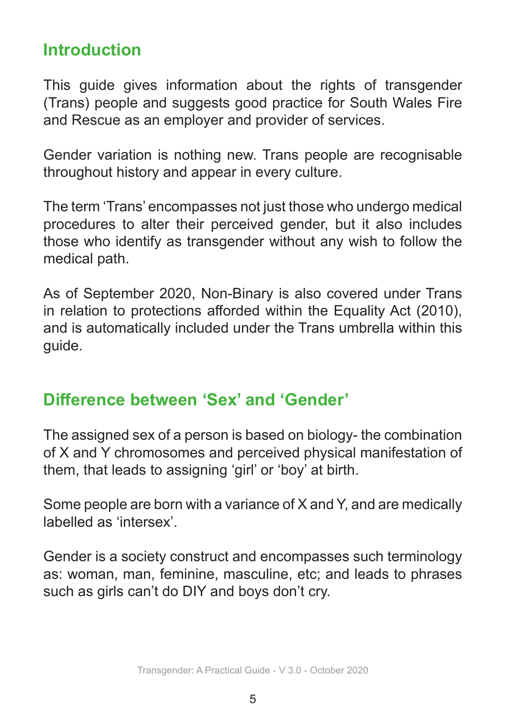# **Introduction**

This guide gives information about the rights of transgender (Trans) people and suggests good practice for South Wales Fire and Rescue as an employer and provider of services.

Gender variation is nothing new. Trans people are recognisable throughout history and appear in every culture.

The term 'Trans' encompasses not just those who undergo medical procedures to alter their perceived gender, but it also includes those who identify as transgender without any wish to follow the medical path.

As of September 2020, Non-Binary is also covered under Trans in relation to protections afforded within the Equality Act (2010), and is automatically included under the Trans umbrella within this guide.

# **Difference between 'Sex' and 'Gender'**

The assigned sex of a person is based on biology- the combination of X and Y chromosomes and perceived physical manifestation of them, that leads to assigning 'girl' or 'boy' at birth.

Some people are born with a variance of X and Y, and are medically labelled as 'intersex'.

Gender is a society construct and encompasses such terminology as: woman, man, feminine, masculine, etc; and leads to phrases such as girls can't do DIY and boys don't cry.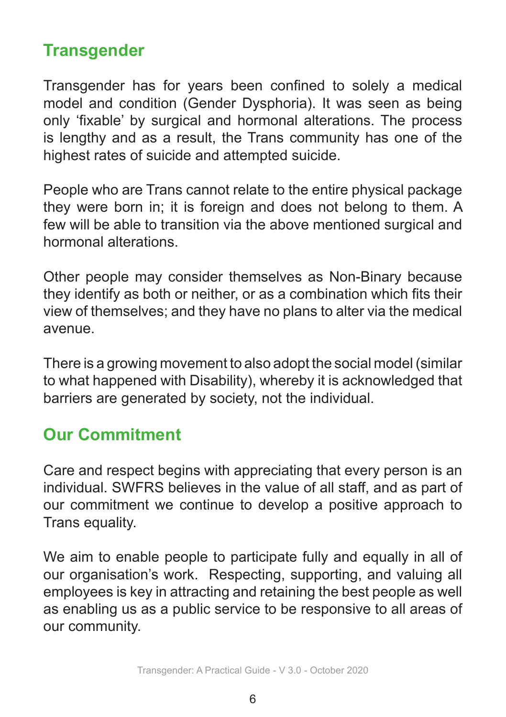# **Transgender**

Transgender has for years been confined to solely a medical model and condition (Gender Dysphoria). It was seen as being only 'fixable' by surgical and hormonal alterations. The process is lengthy and as a result, the Trans community has one of the highest rates of suicide and attempted suicide.

People who are Trans cannot relate to the entire physical package they were born in; it is foreign and does not belong to them. A few will be able to transition via the above mentioned surgical and hormonal alterations.

Other people may consider themselves as Non-Binary because they identify as both or neither, or as a combination which fits their view of themselves; and they have no plans to alter via the medical avenue.

There is a growing movement to also adopt the social model (similar to what happened with Disability), whereby it is acknowledged that barriers are generated by society, not the individual.

# **Our Commitment**

Care and respect begins with appreciating that every person is an individual. SWFRS believes in the value of all staff, and as part of our commitment we continue to develop a positive approach to Trans equality.

We aim to enable people to participate fully and equally in all of our organisation's work. Respecting, supporting, and valuing all employees is key in attracting and retaining the best people as well as enabling us as a public service to be responsive to all areas of our community.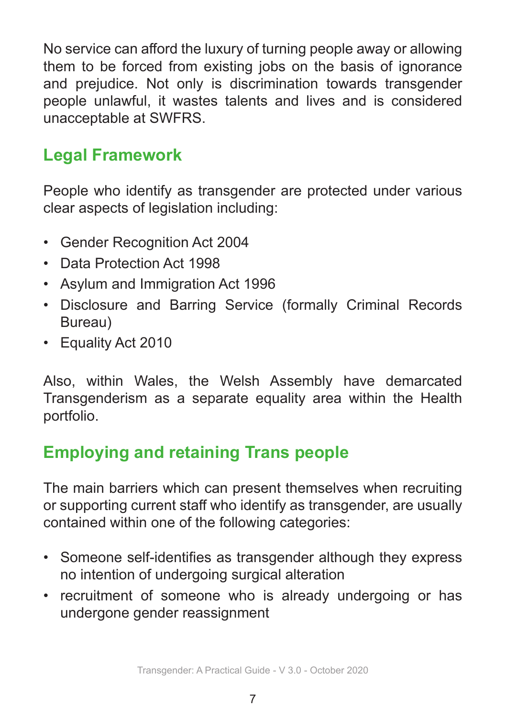No service can afford the luxury of turning people away or allowing them to be forced from existing jobs on the basis of ignorance and prejudice. Not only is discrimination towards transgender people unlawful, it wastes talents and lives and is considered unacceptable at SWFRS.

# **Legal Framework**

People who identify as transgender are protected under various clear aspects of legislation including:

- Gender Recognition Act 2004
- Data Protection Act 1998
- Asylum and Immigration Act 1996
- Disclosure and Barring Service (formally Criminal Records Bureau)
- Equality Act 2010

Also, within Wales, the Welsh Assembly have demarcated Transgenderism as a separate equality area within the Health portfolio.

# **Employing and retaining Trans people**

The main barriers which can present themselves when recruiting or supporting current staff who identify as transgender, are usually contained within one of the following categories:

- Someone self-identifies as transgender although they express no intention of undergoing surgical alteration
- recruitment of someone who is already undergoing or has undergone gender reassignment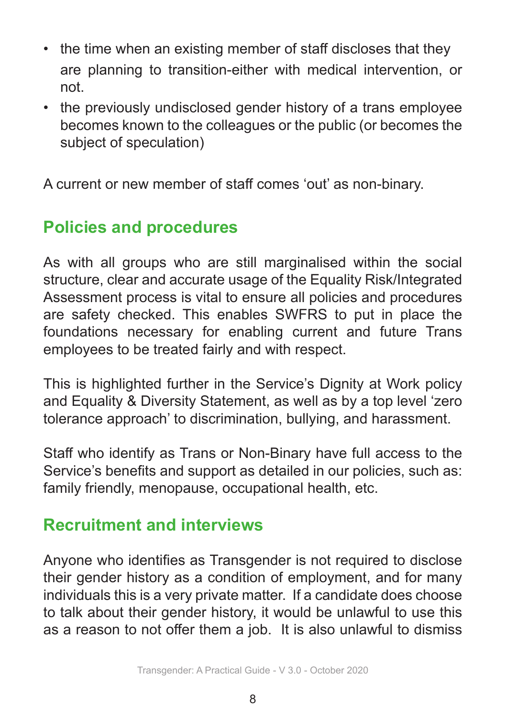- the time when an existing member of staff discloses that they are planning to transition-either with medical intervention, or not.
- the previously undisclosed gender history of a trans employee becomes known to the colleagues or the public (or becomes the subject of speculation)

A current or new member of staff comes 'out' as non-binary.

# **Policies and procedures**

As with all groups who are still marginalised within the social structure, clear and accurate usage of the Equality Risk/Integrated Assessment process is vital to ensure all policies and procedures are safety checked. This enables SWFRS to put in place the foundations necessary for enabling current and future Trans employees to be treated fairly and with respect.

This is highlighted further in the Service's Dignity at Work policy and Equality & Diversity Statement, as well as by a top level 'zero tolerance approach' to discrimination, bullying, and harassment.

Staff who identify as Trans or Non-Binary have full access to the Service's benefits and support as detailed in our policies, such as: family friendly, menopause, occupational health, etc.

# **Recruitment and interviews**

Anyone who identifies as Transgender is not required to disclose their gender history as a condition of employment, and for many individuals this is a very private matter. If a candidate does choose to talk about their gender history, it would be unlawful to use this as a reason to not offer them a job. It is also unlawful to dismiss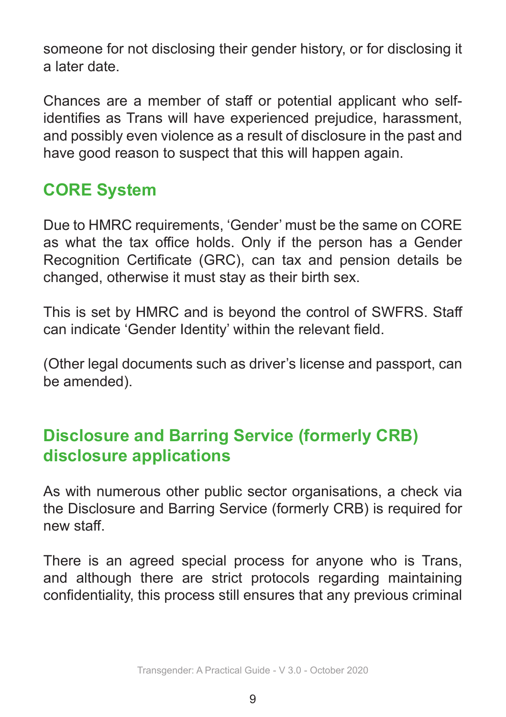someone for not disclosing their gender history, or for disclosing it a later date.

Chances are a member of staff or potential applicant who selfidentifies as Trans will have experienced prejudice, harassment, and possibly even violence as a result of disclosure in the past and have good reason to suspect that this will happen again.

# **CORE System**

Due to HMRC requirements, 'Gender' must be the same on CORE as what the tax office holds. Only if the person has a Gender Recognition Certificate (GRC), can tax and pension details be changed, otherwise it must stay as their birth sex.

This is set by HMRC and is beyond the control of SWFRS. Staff can indicate 'Gender Identity' within the relevant field.

(Other legal documents such as driver's license and passport, can be amended).

# **Disclosure and Barring Service (formerly CRB) disclosure applications**

As with numerous other public sector organisations, a check via the Disclosure and Barring Service (formerly CRB) is required for new staff.

There is an agreed special process for anyone who is Trans, and although there are strict protocols regarding maintaining confidentiality, this process still ensures that any previous criminal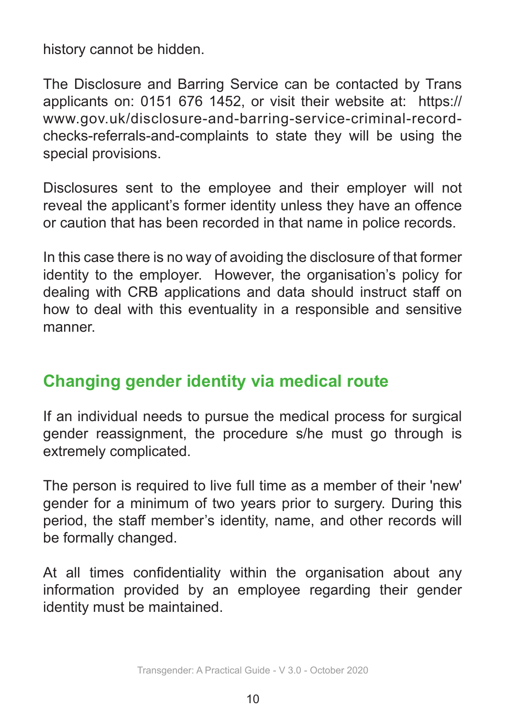history cannot be hidden.

The Disclosure and Barring Service can be contacted by Trans applicants on: 0151 676 1452, or visit their website at: https:// www.gov.uk/disclosure-and-barring-service-criminal-recordchecks-referrals-and-complaints to state they will be using the special provisions.

Disclosures sent to the employee and their employer will not reveal the applicant's former identity unless they have an offence or caution that has been recorded in that name in police records.

In this case there is no way of avoiding the disclosure of that former identity to the employer. However, the organisation's policy for dealing with CRB applications and data should instruct staff on how to deal with this eventuality in a responsible and sensitive manner.

# **Changing gender identity via medical route**

If an individual needs to pursue the medical process for surgical gender reassignment, the procedure s/he must go through is extremely complicated.

The person is required to live full time as a member of their 'new' gender for a minimum of two years prior to surgery. During this period, the staff member's identity, name, and other records will be formally changed.

At all times confidentiality within the organisation about any information provided by an employee regarding their gender identity must be maintained.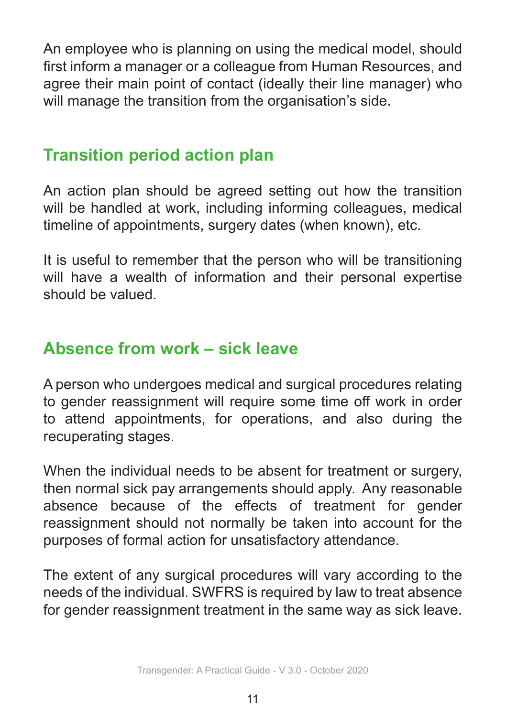An employee who is planning on using the medical model, should first inform a manager or a colleague from Human Resources, and agree their main point of contact (ideally their line manager) who will manage the transition from the organisation's side.

# **Transition period action plan**

An action plan should be agreed setting out how the transition will be handled at work, including informing colleagues, medical timeline of appointments, surgery dates (when known), etc.

It is useful to remember that the person who will be transitioning will have a wealth of information and their personal expertise should be valued.

## **Absence from work – sick leave**

A person who undergoes medical and surgical procedures relating to gender reassignment will require some time off work in order to attend appointments, for operations, and also during the recuperating stages.

When the individual needs to be absent for treatment or surgery, then normal sick pay arrangements should apply. Any reasonable absence because of the effects of treatment for gender reassignment should not normally be taken into account for the purposes of formal action for unsatisfactory attendance.

The extent of any surgical procedures will vary according to the needs of the individual. SWFRS is required by law to treat absence for gender reassignment treatment in the same way as sick leave.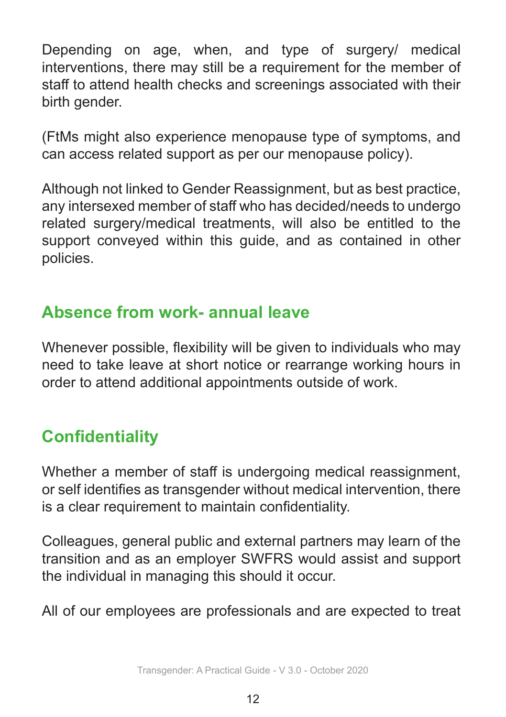Depending on age, when, and type of surgery/ medical interventions, there may still be a requirement for the member of staff to attend health checks and screenings associated with their birth gender.

(FtMs might also experience menopause type of symptoms, and can access related support as per our menopause policy).

Although not linked to Gender Reassignment, but as best practice, any intersexed member of staff who has decided/needs to undergo related surgery/medical treatments, will also be entitled to the support conveyed within this guide, and as contained in other policies.

# **Absence from work- annual leave**

Whenever possible, flexibility will be given to individuals who may need to take leave at short notice or rearrange working hours in order to attend additional appointments outside of work.

# **Confidentiality**

Whether a member of staff is undergoing medical reassignment, or self identifies as transgender without medical intervention, there is a clear requirement to maintain confidentiality.

Colleagues, general public and external partners may learn of the transition and as an employer SWFRS would assist and support the individual in managing this should it occur.

All of our employees are professionals and are expected to treat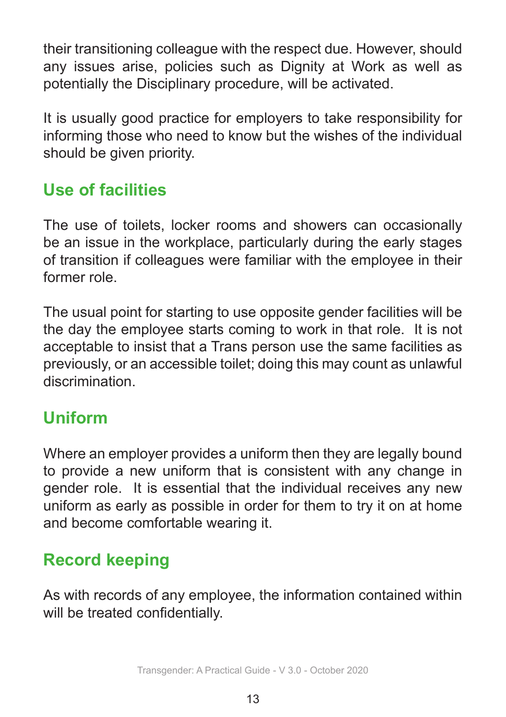their transitioning colleague with the respect due. However, should any issues arise, policies such as Dignity at Work as well as potentially the Disciplinary procedure, will be activated.

It is usually good practice for employers to take responsibility for informing those who need to know but the wishes of the individual should be given priority.

# **Use of facilities**

The use of toilets, locker rooms and showers can occasionally be an issue in the workplace, particularly during the early stages of transition if colleagues were familiar with the employee in their former role.

The usual point for starting to use opposite gender facilities will be the day the employee starts coming to work in that role. It is not acceptable to insist that a Trans person use the same facilities as previously, or an accessible toilet; doing this may count as unlawful discrimination.

# **Uniform**

Where an employer provides a uniform then they are legally bound to provide a new uniform that is consistent with any change in gender role. It is essential that the individual receives any new uniform as early as possible in order for them to try it on at home and become comfortable wearing it.

# **Record keeping**

As with records of any employee, the information contained within will be treated confidentially.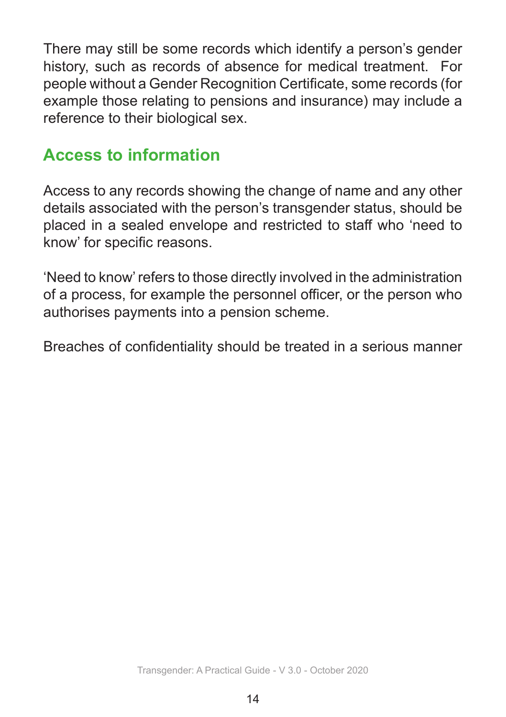There may still be some records which identify a person's gender history, such as records of absence for medical treatment. For people without a Gender Recognition Certificate, some records (for example those relating to pensions and insurance) may include a reference to their biological sex.

# **Access to information**

Access to any records showing the change of name and any other details associated with the person's transgender status, should be placed in a sealed envelope and restricted to staff who 'need to know' for specific reasons.

'Need to know' refers to those directly involved in the administration of a process, for example the personnel officer, or the person who authorises payments into a pension scheme.

Breaches of confidentiality should be treated in a serious manner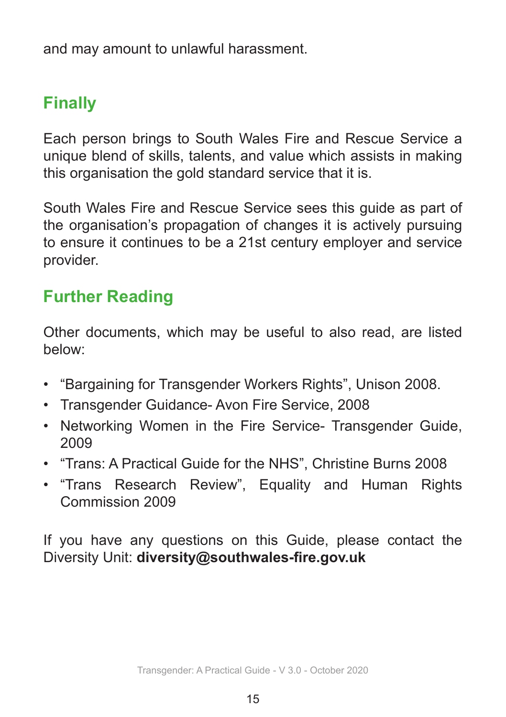and may amount to unlawful harassment.

# **Finally**

Each person brings to South Wales Fire and Rescue Service a unique blend of skills, talents, and value which assists in making this organisation the gold standard service that it is.

South Wales Fire and Rescue Service sees this guide as part of the organisation's propagation of changes it is actively pursuing to ensure it continues to be a 21st century employer and service provider.

# **Further Reading**

Other documents, which may be useful to also read, are listed below:

- "Bargaining for Transgender Workers Rights", Unison 2008.
- Transgender Guidance- Avon Fire Service, 2008
- Networking Women in the Fire Service- Transgender Guide, 2009
- "Trans: A Practical Guide for the NHS", Christine Burns 2008
- "Trans Research Review", Equality and Human Rights Commission 2009

If you have any questions on this Guide, please contact the Diversity Unit: **diversity@southwales-fire.gov.uk**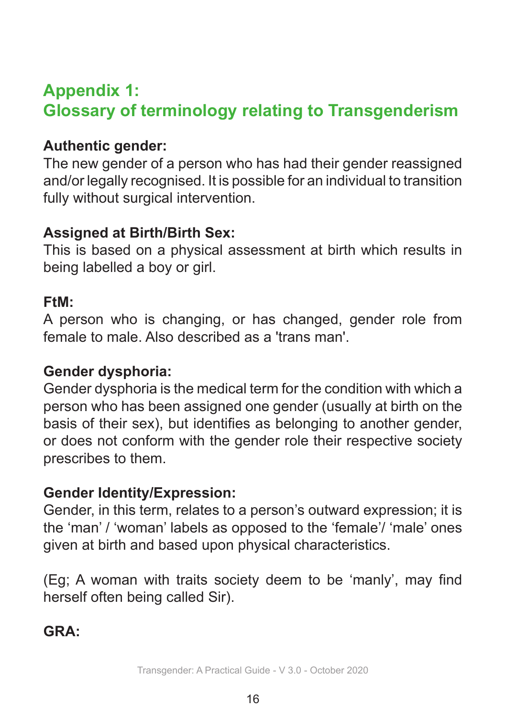# **Appendix 1: Glossary of terminology relating to Transgenderism**

#### **Authentic gender:**

The new gender of a person who has had their gender reassigned and/or legally recognised. It is possible for an individual to transition fully without surgical intervention.

#### **Assigned at Birth/Birth Sex:**

This is based on a physical assessment at birth which results in being labelled a boy or girl.

#### **FtM:**

A person who is changing, or has changed, gender role from female to male. Also described as a 'trans man'.

#### **Gender dysphoria:**

Gender dysphoria is the medical term for the condition with which a person who has been assigned one gender (usually at birth on the basis of their sex), but identifies as belonging to another gender, or does not conform with the gender role their respective society prescribes to them.

#### **Gender Identity/Expression:**

Gender, in this term, relates to a person's outward expression; it is the 'man' / 'woman' labels as opposed to the 'female'/ 'male' ones given at birth and based upon physical characteristics.

(Eg; A woman with traits society deem to be 'manly', may find herself often being called Sir).

#### **GRA:**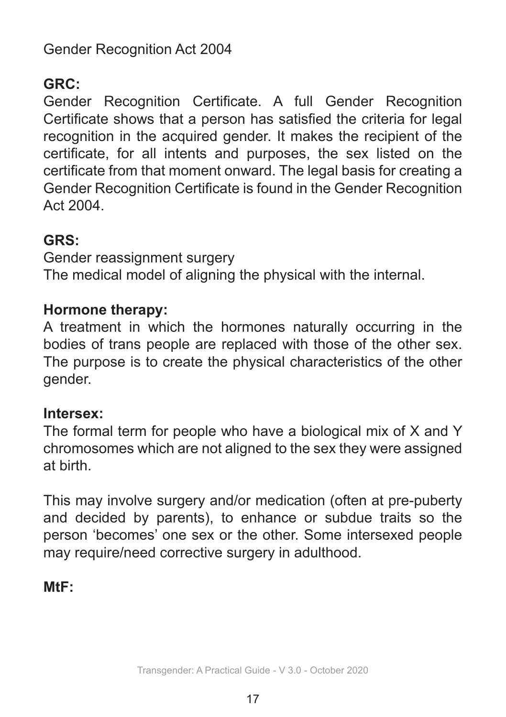Gender Recognition Act 2004

## **GRC:**

Gender Recognition Certificate. A full Gender Recognition Certificate shows that a person has satisfied the criteria for legal recognition in the acquired gender. It makes the recipient of the certificate, for all intents and purposes, the sex listed on the certificate from that moment onward. The legal basis for creating a Gender Recognition Certificate is found in the Gender Recognition Act 2004.

#### **GRS:**

Gender reassignment surgery The medical model of aligning the physical with the internal.

#### **Hormone therapy:**

A treatment in which the hormones naturally occurring in the bodies of trans people are replaced with those of the other sex. The purpose is to create the physical characteristics of the other gender.

#### **Intersex:**

The formal term for people who have a biological mix of X and Y chromosomes which are not aligned to the sex they were assigned at birth.

This may involve surgery and/or medication (often at pre-puberty and decided by parents), to enhance or subdue traits so the person 'becomes' one sex or the other. Some intersexed people may require/need corrective surgery in adulthood.

### **MtF:**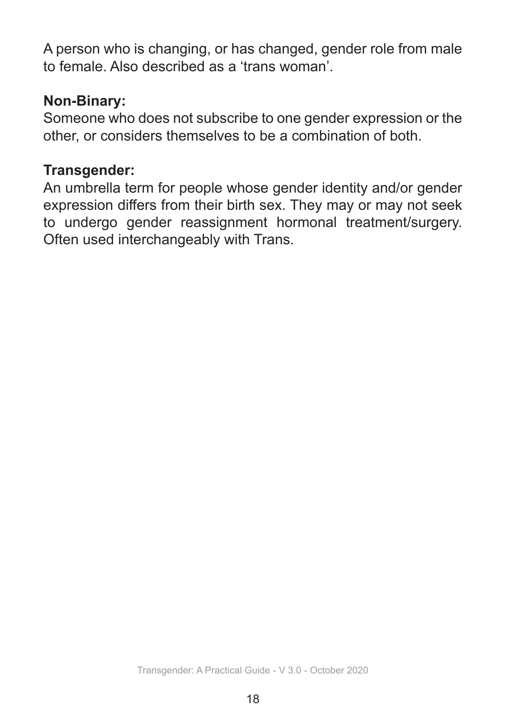A person who is changing, or has changed, gender role from male to female. Also described as a 'trans woman'.

#### **Non-Binary:**

Someone who does not subscribe to one gender expression or the other, or considers themselves to be a combination of both.

#### **Transgender:**

An umbrella term for people whose gender identity and/or gender expression differs from their birth sex. They may or may not seek to undergo gender reassignment hormonal treatment/surgery. Often used interchangeably with Trans.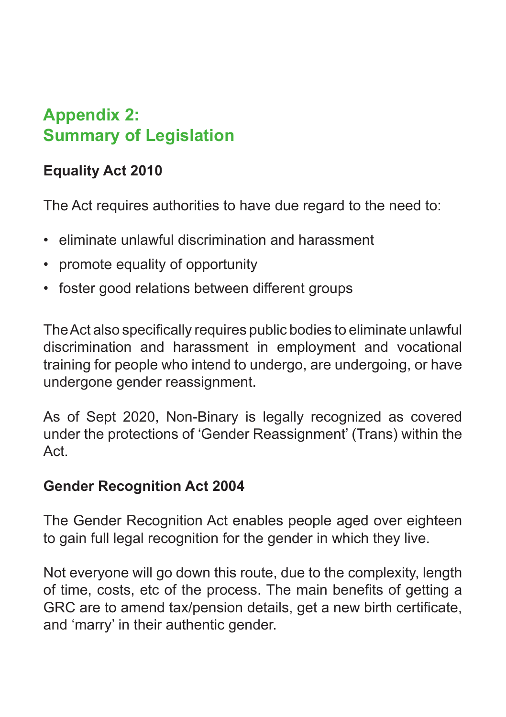# **Appendix 2: Summary of Legislation**

## **Equality Act 2010**

The Act requires authorities to have due regard to the need to:

- eliminate unlawful discrimination and harassment
- promote equality of opportunity
- foster good relations between different groups

The Act also specifically requires public bodies to eliminate unlawful discrimination and harassment in employment and vocational training for people who intend to undergo, are undergoing, or have undergone gender reassignment.

As of Sept 2020, Non-Binary is legally recognized as covered under the protections of 'Gender Reassignment' (Trans) within the Act.

#### **Gender Recognition Act 2004**

The Gender Recognition Act enables people aged over eighteen to gain full legal recognition for the gender in which they live.

Not everyone will go down this route, due to the complexity, length of time, costs, etc of the process. The main benefits of getting a GRC are to amend tax/pension details, get a new birth certificate, and 'marry' in their authentic gender.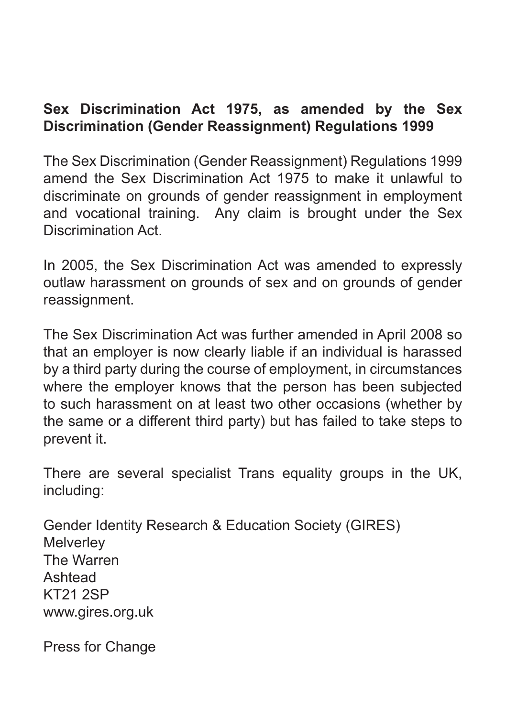#### **Sex Discrimination Act 1975, as amended by the Sex Discrimination (Gender Reassignment) Regulations 1999**

The Sex Discrimination (Gender Reassignment) Regulations 1999 amend the Sex Discrimination Act 1975 to make it unlawful to discriminate on grounds of gender reassignment in employment and vocational training. Any claim is brought under the Sex Discrimination Act.

In 2005, the Sex Discrimination Act was amended to expressly outlaw harassment on grounds of sex and on grounds of gender reassignment.

The Sex Discrimination Act was further amended in April 2008 so that an employer is now clearly liable if an individual is harassed by a third party during the course of employment, in circumstances where the employer knows that the person has been subjected to such harassment on at least two other occasions (whether by the same or a different third party) but has failed to take steps to prevent it.

There are several specialist Trans equality groups in the UK, including:

Gender Identity Research & Education Society (GIRES) **Melverley** The Warren Ashtead KT21 2SP www.gires.org.uk

Press for Change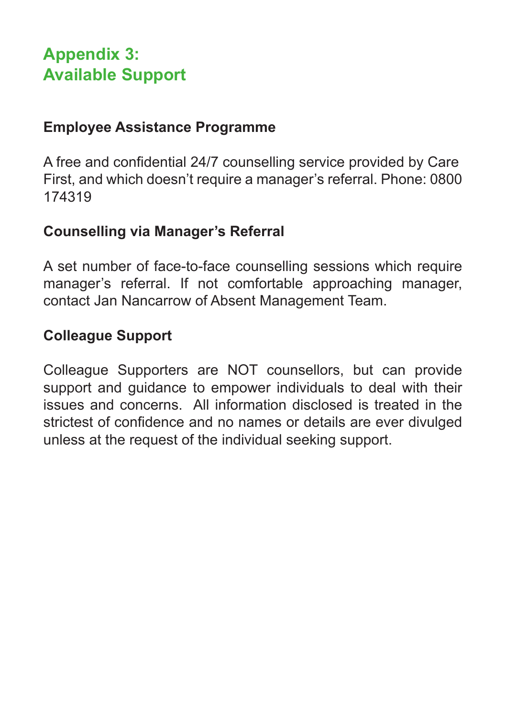# **Appendix 3: Available Support**

#### **Employee Assistance Programme**

A free and confidential 24/7 counselling service provided by Care First, and which doesn't require a manager's referral. Phone: 0800 174319

#### **Counselling via Manager's Referral**

A set number of face-to-face counselling sessions which require manager's referral. If not comfortable approaching manager, contact Jan Nancarrow of Absent Management Team.

## **Colleague Support**

Colleague Supporters are NOT counsellors, but can provide support and guidance to empower individuals to deal with their issues and concerns. All information disclosed is treated in the strictest of confidence and no names or details are ever divulged unless at the request of the individual seeking support.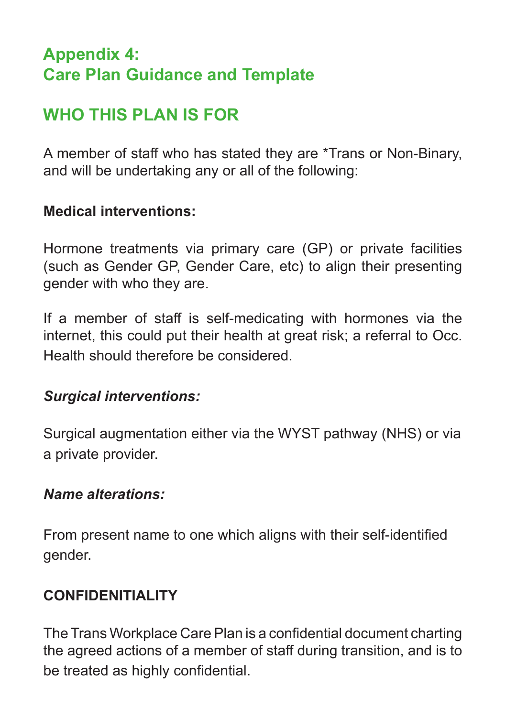# **Appendix 4: Care Plan Guidance and Template**

# **WHO THIS PLAN IS FOR**

A member of staff who has stated they are \*Trans or Non-Binary, and will be undertaking any or all of the following:

#### **Medical interventions:**

Hormone treatments via primary care (GP) or private facilities (such as Gender GP, Gender Care, etc) to align their presenting gender with who they are.

If a member of staff is self-medicating with hormones via the internet, this could put their health at great risk; a referral to Occ. Health should therefore be considered.

#### *Surgical interventions:*

Surgical augmentation either via the WYST pathway (NHS) or via a private provider.

#### *Name alterations:*

From present name to one which aligns with their self-identified gender.

#### **CONFIDENITIALITY**

The Trans Workplace Care Plan is a confidential document charting the agreed actions of a member of staff during transition, and is to be treated as highly confidential.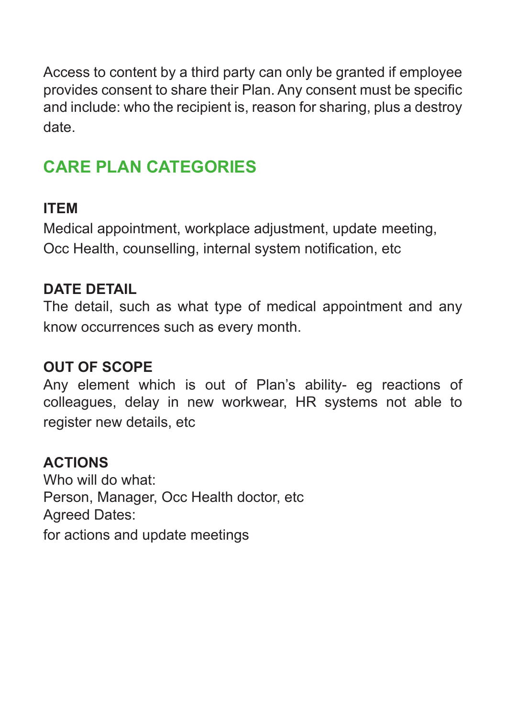Access to content by a third party can only be granted if employee provides consent to share their Plan. Any consent must be specific and include: who the recipient is, reason for sharing, plus a destroy date.

# **CARE PLAN CATEGORIES**

#### **ITEM**

Medical appointment, workplace adjustment, update meeting, Occ Health, counselling, internal system notification, etc

#### **DATE DETAIL**

The detail, such as what type of medical appointment and any know occurrences such as every month.

#### **OUT OF SCOPE**

Any element which is out of Plan's ability- eg reactions of colleagues, delay in new workwear, HR systems not able to register new details, etc

#### **ACTIONS**

Who will do what: Person, Manager, Occ Health doctor, etc Agreed Dates: for actions and update meetings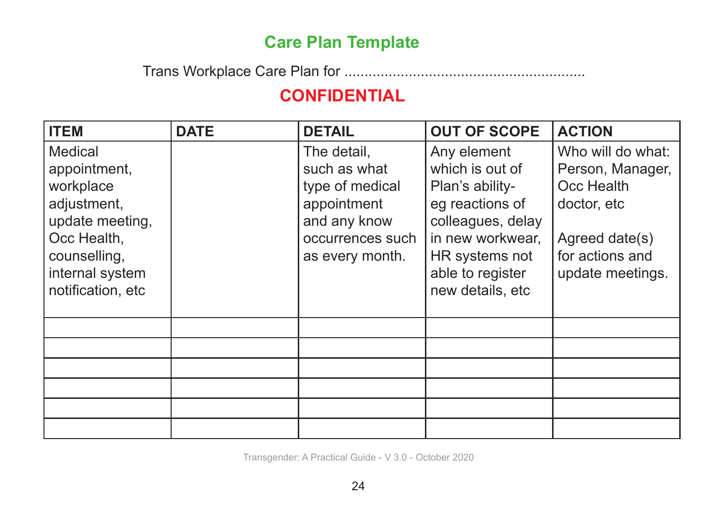# **Care Plan Template**

Trans Workplace Care Plan for ............................................................

# **CONFIDENTIAL**

| <b>ITEM</b>                                                                                                                                   | <b>DATE</b> | <b>DETAIL</b>                                                                                                        | <b>OUT OF SCOPE</b>                                                                                                                                                     | <b>ACTION</b>                                                                                                               |
|-----------------------------------------------------------------------------------------------------------------------------------------------|-------------|----------------------------------------------------------------------------------------------------------------------|-------------------------------------------------------------------------------------------------------------------------------------------------------------------------|-----------------------------------------------------------------------------------------------------------------------------|
| Medical<br>appointment,<br>workplace<br>adjustment,<br>update meeting,<br>Occ Health,<br>counselling,<br>internal system<br>notification, etc |             | The detail,<br>such as what<br>type of medical<br>appointment<br>and any know<br>occurrences such<br>as every month. | Any element<br>which is out of<br>Plan's ability-<br>eg reactions of<br>colleagues, delay<br>in new workwear,<br>HR systems not<br>able to register<br>new details, etc | Who will do what:<br>Person, Manager,<br>Occ Health<br>doctor, etc<br>Agreed date(s)<br>for actions and<br>update meetings. |
|                                                                                                                                               |             |                                                                                                                      |                                                                                                                                                                         |                                                                                                                             |
|                                                                                                                                               |             |                                                                                                                      |                                                                                                                                                                         |                                                                                                                             |
|                                                                                                                                               |             |                                                                                                                      |                                                                                                                                                                         |                                                                                                                             |
|                                                                                                                                               |             |                                                                                                                      |                                                                                                                                                                         |                                                                                                                             |
|                                                                                                                                               |             |                                                                                                                      |                                                                                                                                                                         |                                                                                                                             |
|                                                                                                                                               |             |                                                                                                                      |                                                                                                                                                                         |                                                                                                                             |

Transgender: A Practical Guide - V 3.0 - October 2020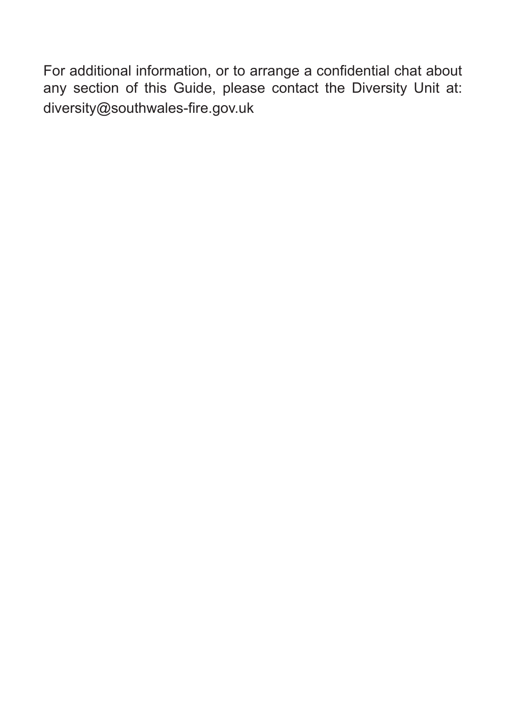For additional information, or to arrange a confidential chat about any section of this Guide, please contact the Diversity Unit at: diversity@southwales-fire.gov.uk